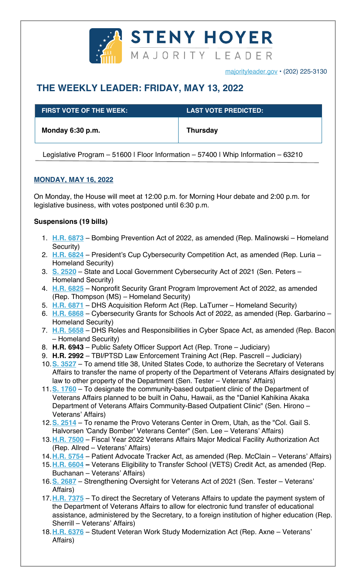

majorityleader.gov • (202) 225-3130

# **THE WEEKLY LEADER: FRIDAY, MAY 13, 2022**

| <b>FIRST VOTE OF THE WEEK:</b> | <b>LAST VOTE PREDICTED:</b> ' |
|--------------------------------|-------------------------------|
| Monday 6:30 p.m.               | <b>Thursday</b>               |

Legislative Program – 51600 | Floor Information – 57400 | Whip Information – 63210

## **MONDAY, MAY 16, 2022**

On Monday, the House will meet at 12:00 p.m. for Morning Hour debate and 2:00 p.m. for legislative business, with votes postponed until 6:30 p.m.

## **Suspensions (19 bills)**

- 1. **H.R. 6873** Bombing Prevention Act of 2022, as amended (Rep. Malinowski Homeland Security)
- 2. **H.R. 6824** President's Cup Cybersecurity Competition Act, as amended (Rep. Luria Homeland Security)
- 3. **S. 2520** State and Local Government Cybersecurity Act of 2021 (Sen. Peters Homeland Security)
- 4. **H.R. 6825** Nonprofit Security Grant Program Improvement Act of 2022, as amended (Rep. Thompson (MS) – Homeland Security)
- 5. **H.R. 6871** DHS Acquisition Reform Act (Rep. LaTurner Homeland Security)
- 6. **H.R. 6868** Cybersecurity Grants for Schools Act of 2022, as amended (Rep. Garbarino Homeland Security)
- 7. **H.R. 5658** DHS Roles and Responsibilities in Cyber Space Act, as amended (Rep. Bacon – Homeland Security)
- 8. **H.R. 6943** Public Safety Officer Support Act (Rep. Trone Judiciary)
- 9. **H.R. 2992**  TBI/PTSD Law Enforcement Training Act (Rep. Pascrell Judiciary)
- 10.**S. 3527** To amend title 38, United States Code, to authorize the Secretary of Veterans Affairs to transfer the name of property of the Department of Veterans Affairs designated by law to other property of the Department (Sen. Tester – Veterans' Affairs)
- 11.**S. 1760** To designate the community-based outpatient clinic of the Department of Veterans Affairs planned to be built in Oahu, Hawaii, as the "Daniel Kahikina Akaka Department of Veterans Affairs Community-Based Outpatient Clinic" (Sen. Hirono – Veterans' Affairs)
- 12.**S. 2514** To rename the Provo Veterans Center in Orem, Utah, as the "Col. Gail S. Halvorsen 'Candy Bomber' Veterans Center" (Sen. Lee – Veterans' Affairs)
- 13.**H.R. 7500** Fiscal Year 2022 Veterans Affairs Major Medical Facility Authorization Act (Rep. Allred – Veterans' Affairs)
- 14.**H.R. 5754** Patient Advocate Tracker Act, as amended (Rep. McClain Veterans' Affairs)
- 15.**H.R. 6604 –** Veterans Eligibility to Transfer School (VETS) Credit Act, as amended (Rep. Buchanan – Veterans' Affairs)
- 16.**S. 2687** Strengthening Oversight for Veterans Act of 2021 (Sen. Tester Veterans' Affairs)
- 17.**H.R. 7375** To direct the Secretary of Veterans Affairs to update the payment system of the Department of Veterans Affairs to allow for electronic fund transfer of educational assistance, administered by the Secretary, to a foreign institution of higher education (Rep. Sherrill – Veterans' Affairs)
- 18.**H.R. 6376** Student Veteran Work Study Modernization Act (Rep. Axne Veterans' Affairs)